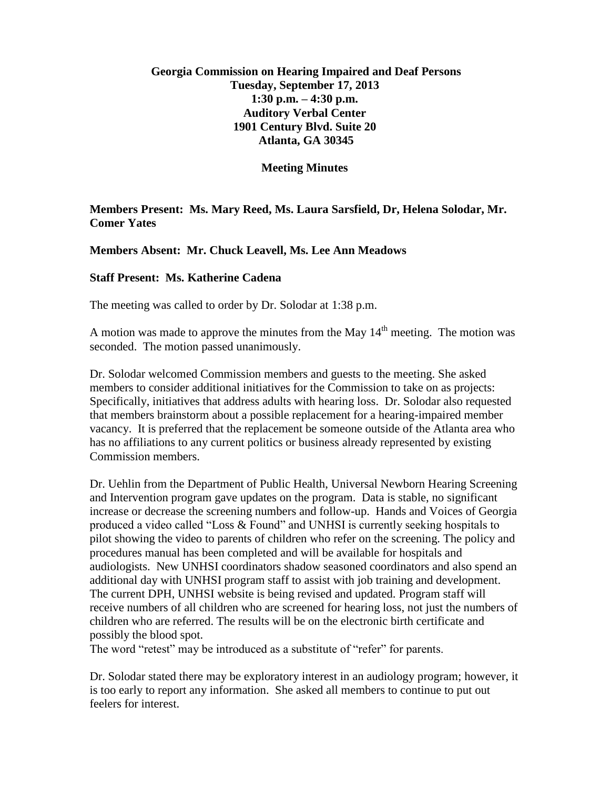## **Georgia Commission on Hearing Impaired and Deaf Persons Tuesday, September 17, 2013 1:30 p.m. – 4:30 p.m. Auditory Verbal Center 1901 Century Blvd. Suite 20 Atlanta, GA 30345**

**Meeting Minutes**

**Members Present: Ms. Mary Reed, Ms. Laura Sarsfield, Dr, Helena Solodar, Mr. Comer Yates**

**Members Absent: Mr. Chuck Leavell, Ms. Lee Ann Meadows**

## **Staff Present: Ms. Katherine Cadena**

The meeting was called to order by Dr. Solodar at 1:38 p.m.

A motion was made to approve the minutes from the May  $14<sup>th</sup>$  meeting. The motion was seconded. The motion passed unanimously.

Dr. Solodar welcomed Commission members and guests to the meeting. She asked members to consider additional initiatives for the Commission to take on as projects: Specifically, initiatives that address adults with hearing loss. Dr. Solodar also requested that members brainstorm about a possible replacement for a hearing-impaired member vacancy. It is preferred that the replacement be someone outside of the Atlanta area who has no affiliations to any current politics or business already represented by existing Commission members.

Dr. Uehlin from the Department of Public Health, Universal Newborn Hearing Screening and Intervention program gave updates on the program. Data is stable, no significant increase or decrease the screening numbers and follow-up. Hands and Voices of Georgia produced a video called "Loss & Found" and UNHSI is currently seeking hospitals to pilot showing the video to parents of children who refer on the screening. The policy and procedures manual has been completed and will be available for hospitals and audiologists. New UNHSI coordinators shadow seasoned coordinators and also spend an additional day with UNHSI program staff to assist with job training and development. The current DPH, UNHSI website is being revised and updated. Program staff will receive numbers of all children who are screened for hearing loss, not just the numbers of children who are referred. The results will be on the electronic birth certificate and possibly the blood spot.

The word "retest" may be introduced as a substitute of "refer" for parents.

Dr. Solodar stated there may be exploratory interest in an audiology program; however, it is too early to report any information. She asked all members to continue to put out feelers for interest.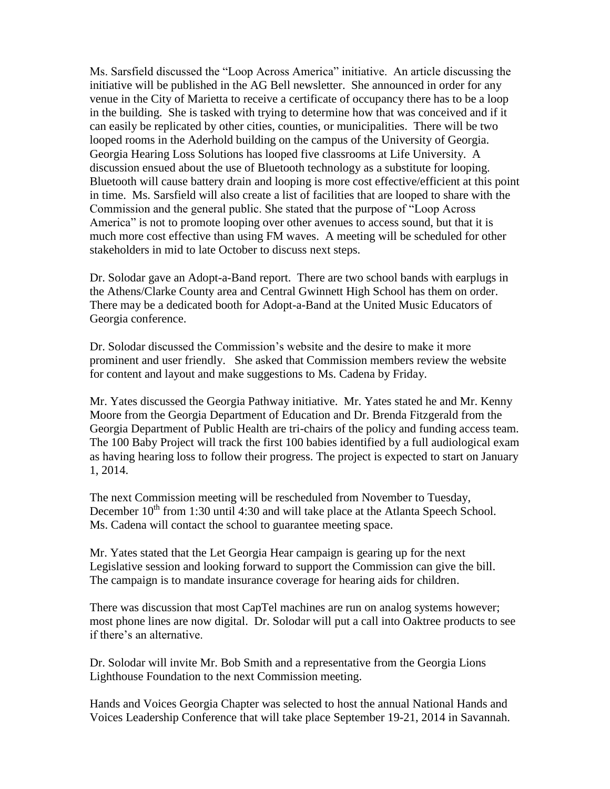Ms. Sarsfield discussed the "Loop Across America" initiative. An article discussing the initiative will be published in the AG Bell newsletter. She announced in order for any venue in the City of Marietta to receive a certificate of occupancy there has to be a loop in the building. She is tasked with trying to determine how that was conceived and if it can easily be replicated by other cities, counties, or municipalities. There will be two looped rooms in the Aderhold building on the campus of the University of Georgia. Georgia Hearing Loss Solutions has looped five classrooms at Life University. A discussion ensued about the use of Bluetooth technology as a substitute for looping. Bluetooth will cause battery drain and looping is more cost effective/efficient at this point in time. Ms. Sarsfield will also create a list of facilities that are looped to share with the Commission and the general public. She stated that the purpose of "Loop Across America" is not to promote looping over other avenues to access sound, but that it is much more cost effective than using FM waves. A meeting will be scheduled for other stakeholders in mid to late October to discuss next steps.

Dr. Solodar gave an Adopt-a-Band report. There are two school bands with earplugs in the Athens/Clarke County area and Central Gwinnett High School has them on order. There may be a dedicated booth for Adopt-a-Band at the United Music Educators of Georgia conference.

Dr. Solodar discussed the Commission's website and the desire to make it more prominent and user friendly. She asked that Commission members review the website for content and layout and make suggestions to Ms. Cadena by Friday.

Mr. Yates discussed the Georgia Pathway initiative. Mr. Yates stated he and Mr. Kenny Moore from the Georgia Department of Education and Dr. Brenda Fitzgerald from the Georgia Department of Public Health are tri-chairs of the policy and funding access team. The 100 Baby Project will track the first 100 babies identified by a full audiological exam as having hearing loss to follow their progress. The project is expected to start on January 1, 2014.

The next Commission meeting will be rescheduled from November to Tuesday, December  $10^{th}$  from 1:30 until 4:30 and will take place at the Atlanta Speech School. Ms. Cadena will contact the school to guarantee meeting space.

Mr. Yates stated that the Let Georgia Hear campaign is gearing up for the next Legislative session and looking forward to support the Commission can give the bill. The campaign is to mandate insurance coverage for hearing aids for children.

There was discussion that most CapTel machines are run on analog systems however; most phone lines are now digital. Dr. Solodar will put a call into Oaktree products to see if there's an alternative.

Dr. Solodar will invite Mr. Bob Smith and a representative from the Georgia Lions Lighthouse Foundation to the next Commission meeting.

Hands and Voices Georgia Chapter was selected to host the annual National Hands and Voices Leadership Conference that will take place September 19-21, 2014 in Savannah.